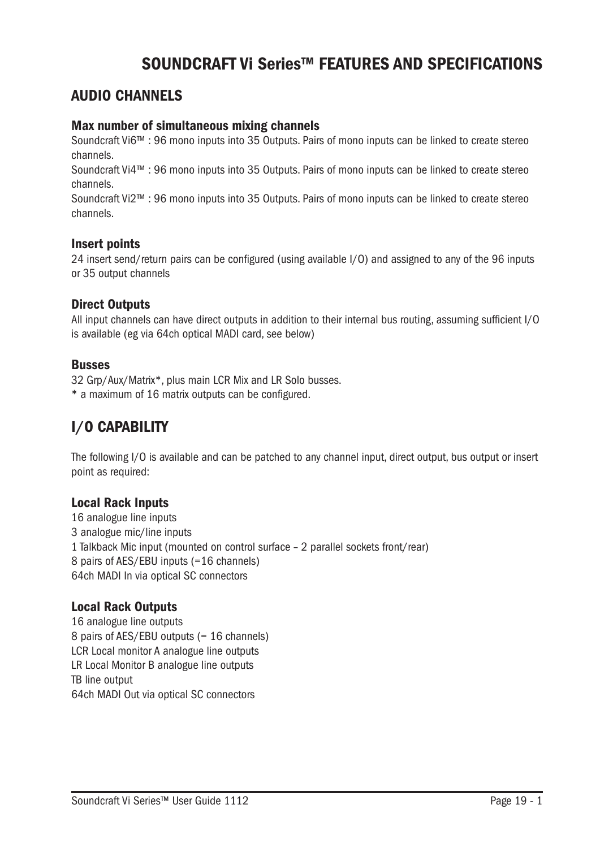# SOUNDCRAFT Vi Series™ FEATURES AND SPECIFICATIONS

### AUDIO CHANNELS

#### Max number of simultaneous mixing channels

Soundcraft Vi6™ : 96 mono inputs into 35 Outputs. Pairs of mono inputs can be linked to create stereo channels.

Soundcraft Vi4™ : 96 mono inputs into 35 Outputs. Pairs of mono inputs can be linked to create stereo channels.

Soundcraft Vi2™ : 96 mono inputs into 35 Outputs. Pairs of mono inputs can be linked to create stereo channels.

#### Insert points

24 insert send/return pairs can be configured (using available I/O) and assigned to any of the 96 inputs or 35 output channels

#### Direct Outputs

All input channels can have direct outputs in addition to their internal bus routing, assuming sufficient I/O is available (eg via 64ch optical MADI card, see below)

#### Busses

32 Grp/Aux/Matrix\*, plus main LCR Mix and LR Solo busses.

\* a maximum of 16 matrix outputs can be configured.

## I/O CAPABILITY

The following I/O is available and can be patched to any channel input, direct output, bus output or insert point as required:

#### Local Rack Inputs

16 analogue line inputs 3 analogue mic/line inputs 1 Talkback Mic input (mounted on control surface – 2 parallel sockets front/rear) 8 pairs of AES/EBU inputs (=16 channels) 64ch MADI In via optical SC connectors

#### Local Rack Outputs

16 analogue line outputs 8 pairs of AES/EBU outputs (= 16 channels) LCR Local monitor A analogue line outputs LR Local Monitor B analogue line outputs TB line output 64ch MADI Out via optical SC connectors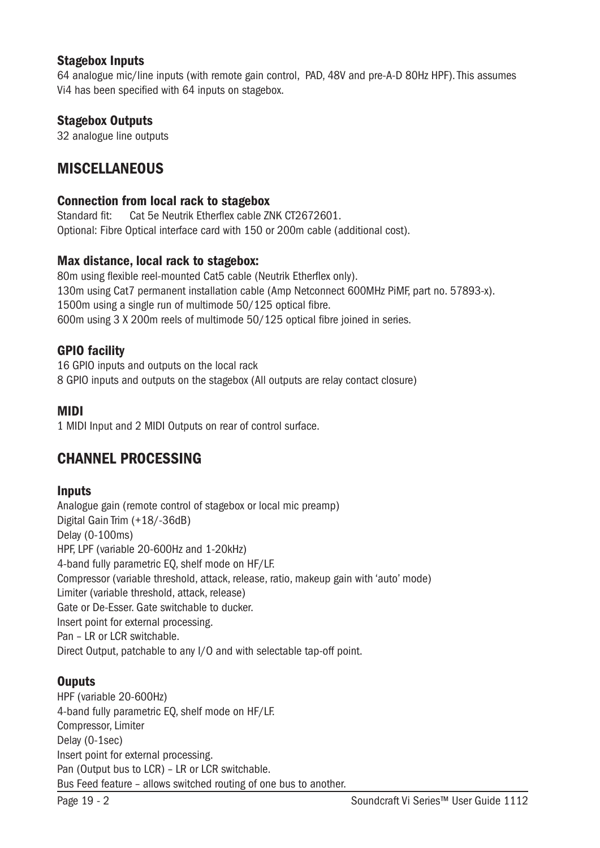#### Stagebox Inputs

64 analogue mic/line inputs (with remote gain control, PAD, 48V and pre-A-D 80Hz HPF). This assumes Vi4 has been specified with 64 inputs on stagebox.

#### Stagebox Outputs

32 analogue line outputs

### **MISCELLANEOUS**

#### Connection from local rack to stagebox

Standard fit: Cat 5e Neutrik Etherflex cable ZNK CT2672601. Optional: Fibre Optical interface card with 150 or 200m cable (additional cost).

#### Max distance, local rack to stagebox:

80m using flexible reel-mounted Cat5 cable (Neutrik Etherflex only). 130m using Cat7 permanent installation cable (Amp Netconnect 600MHz PiMF, part no. 57893-x). 1500m using a single run of multimode 50/125 optical fibre. 600m using 3 X 200m reels of multimode 50/125 optical fibre joined in series.

#### GPIO facility

16 GPIO inputs and outputs on the local rack 8 GPIO inputs and outputs on the stagebox (All outputs are relay contact closure)

#### MIDI

1 MIDI Input and 2 MIDI Outputs on rear of control surface.

## CHANNEL PROCESSING

#### **Inputs**

Analogue gain (remote control of stagebox or local mic preamp) Digital Gain Trim (+18/-36dB) Delay (0-100ms) HPF, LPF (variable 20-600Hz and 1-20kHz) 4-band fully parametric EQ, shelf mode on HF/LF. Compressor (variable threshold, attack, release, ratio, makeup gain with 'auto' mode) Limiter (variable threshold, attack, release) Gate or De-Esser. Gate switchable to ducker. Insert point for external processing. Pan – LR or LCR switchable. Direct Output, patchable to any I/O and with selectable tap-off point.

#### **Ouputs**

HPF (variable 20-600Hz) 4-band fully parametric EQ, shelf mode on HF/LF. Compressor, Limiter Delay (0-1sec) Insert point for external processing. Pan (Output bus to LCR) – LR or LCR switchable. Bus Feed feature – allows switched routing of one bus to another.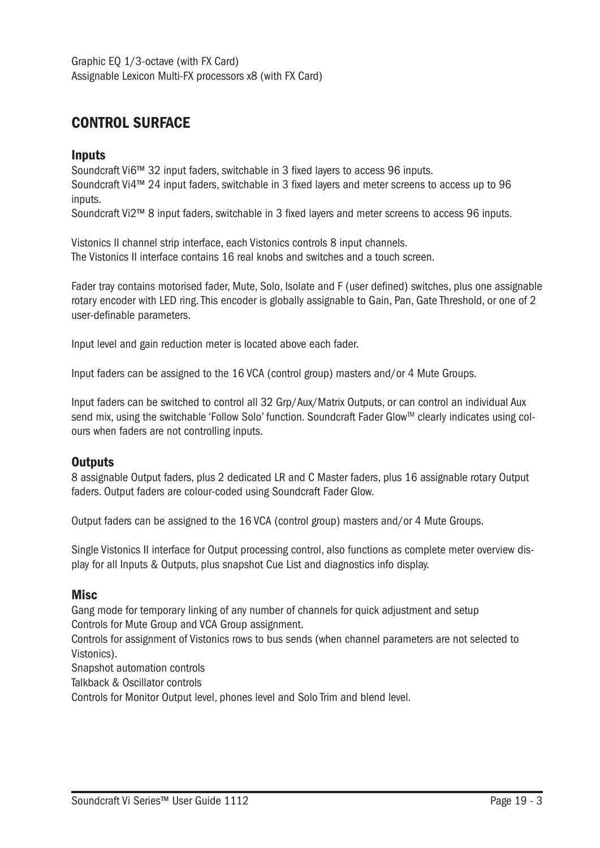Graphic EQ 1/3-octave (with FX Card) Assignable Lexicon Multi-FX processors x8 (with FX Card)

## CONTROL SURFACE

#### **Inputs**

Soundcraft Vi6™ 32 input faders, switchable in 3 fixed layers to access 96 inputs. Soundcraft Vi4™ 24 input faders, switchable in 3 fixed layers and meter screens to access up to 96 inputs.

Soundcraft Vi2™ 8 input faders, switchable in 3 fixed layers and meter screens to access 96 inputs.

Vistonics II channel strip interface, each Vistonics controls 8 input channels. The Vistonics II interface contains 16 real knobs and switches and a touch screen.

Fader tray contains motorised fader, Mute, Solo, Isolate and F (user defined) switches, plus one assignable rotary encoder with LED ring. This encoder is globally assignable to Gain, Pan, Gate Threshold, or one of 2 user-definable parameters.

Input level and gain reduction meter is located above each fader.

Input faders can be assigned to the 16 VCA (control group) masters and/or 4 Mute Groups.

Input faders can be switched to control all 32 Grp/Aux/Matrix Outputs, or can control an individual Aux send mix, using the switchable 'Follow Solo' function. Soundcraft Fader Glow™ clearly indicates using colours when faders are not controlling inputs.

#### **Outputs**

8 assignable Output faders, plus 2 dedicated LR and C Master faders, plus 16 assignable rotary Output faders. Output faders are colour-coded using Soundcraft Fader Glow.

Output faders can be assigned to the 16 VCA (control group) masters and/or 4 Mute Groups.

Single Vistonics II interface for Output processing control, also functions as complete meter overview display for all Inputs & Outputs, plus snapshot Cue List and diagnostics info display.

#### **Misc**

Gang mode for temporary linking of any number of channels for quick adjustment and setup Controls for Mute Group and VCA Group assignment.

Controls for assignment of Vistonics rows to bus sends (when channel parameters are not selected to Vistonics).

Snapshot automation controls

Talkback & Oscillator controls

Controls for Monitor Output level, phones level and Solo Trim and blend level.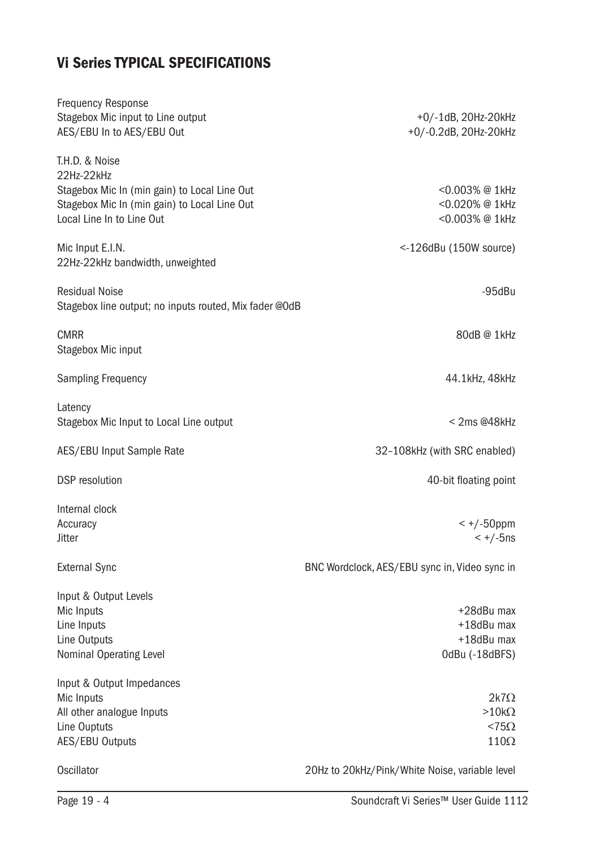# Vi Series TYPICAL SPECIFICATIONS

| <b>Frequency Response</b><br>Stagebox Mic input to Line output<br>AES/EBU In to AES/EBU Out | +0/-1dB, 20Hz-20kHz<br>+0/-0.2dB, 20Hz-20kHz   |
|---------------------------------------------------------------------------------------------|------------------------------------------------|
| T.H.D. & Noise                                                                              |                                                |
| 22Hz-22kHz                                                                                  |                                                |
| Stagebox Mic In (min gain) to Local Line Out                                                | <0.003% @ 1kHz                                 |
| Stagebox Mic In (min gain) to Local Line Out<br>Local Line In to Line Out                   | <0.020% @ 1kHz<br><0.003% @ 1kHz               |
|                                                                                             |                                                |
| Mic Input E.I.N.                                                                            | $<$ -126dBu (150W source)                      |
| 22Hz-22kHz bandwidth, unweighted                                                            |                                                |
|                                                                                             |                                                |
| <b>Residual Noise</b>                                                                       | $-95$ d $Bu$                                   |
| Stagebox line output; no inputs routed, Mix fader @OdB                                      |                                                |
|                                                                                             |                                                |
| <b>CMRR</b>                                                                                 | 80dB@1kHz                                      |
| Stagebox Mic input                                                                          |                                                |
| <b>Sampling Frequency</b>                                                                   | 44.1kHz, 48kHz                                 |
|                                                                                             |                                                |
| Latency                                                                                     |                                                |
| Stagebox Mic Input to Local Line output                                                     | < 2ms @48kHz                                   |
|                                                                                             |                                                |
| <b>AES/EBU Input Sample Rate</b>                                                            | 32-108kHz (with SRC enabled)                   |
|                                                                                             |                                                |
| <b>DSP</b> resolution                                                                       | 40-bit floating point                          |
| Internal clock                                                                              |                                                |
| Accuracy                                                                                    | $<$ +/-50ppm                                   |
| <b>Jitter</b>                                                                               | $< +/-5$ ns                                    |
|                                                                                             |                                                |
| <b>External Sync</b>                                                                        | BNC Wordclock, AES/EBU sync in, Video sync in  |
|                                                                                             |                                                |
| Input & Output Levels                                                                       |                                                |
| Mic Inputs                                                                                  | +28dBu max                                     |
| Line Inputs                                                                                 | +18dBu max                                     |
| Line Outputs                                                                                | +18dBu max                                     |
| <b>Nominal Operating Level</b>                                                              | OdBu (-18dBFS)                                 |
|                                                                                             |                                                |
| Input & Output Impedances<br>Mic Inputs                                                     | $2k7\Omega$                                    |
| All other analogue Inputs                                                                   | $>10k\Omega$                                   |
| Line Ouptuts                                                                                | $< 75\Omega$                                   |
| <b>AES/EBU Outputs</b>                                                                      | $110\Omega$                                    |
|                                                                                             |                                                |
| Oscillator                                                                                  | 20Hz to 20kHz/Pink/White Noise, variable level |